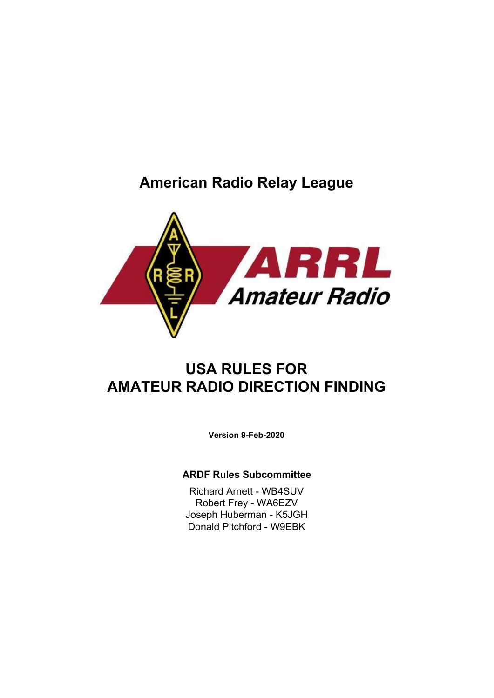# **American Radio Relay League**



# **USA RULES FOR AMATEUR RADIO DIRECTION FINDING**

**Version 9-Feb-2020**

#### **ARDF Rules Subcommittee**

Richard Arnett - WB4SUV Robert Frey - WA6EZV Joseph Huberman - K5JGH Donald Pitchford - W9EBK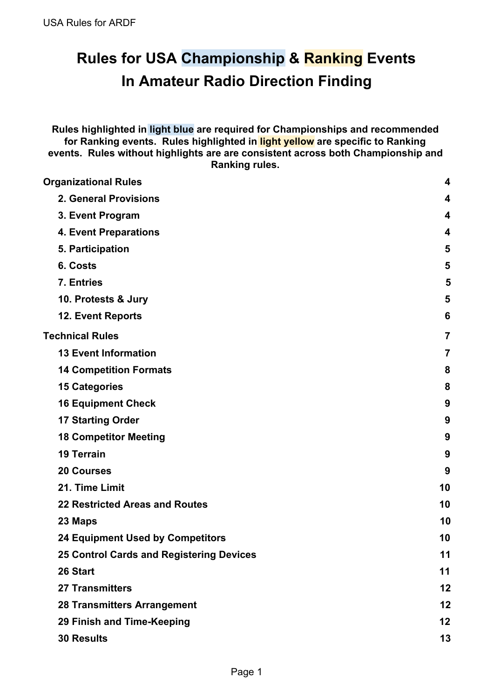# **Rules for USA Championship & Ranking Events In Amateur Radio Direction Finding**

**Rules highlighted in light blue are required for Championships and recommended for Ranking events. Rules highlighted in light yellow are specific to Ranking events. Rules without highlights are are consistent across both Championship and Ranking rules.**

| 4              |
|----------------|
| 4              |
| 4              |
| 4              |
| 5              |
| 5              |
| 5              |
| 5              |
| 6              |
| $\overline{7}$ |
| 7              |
| 8              |
| 8              |
| 9              |
| 9              |
| 9              |
| 9              |
| 9              |
| 10             |
| 10             |
| 10             |
| 10             |
| 11             |
| 11             |
| 12             |
| 12             |
| 12             |
| 13             |
|                |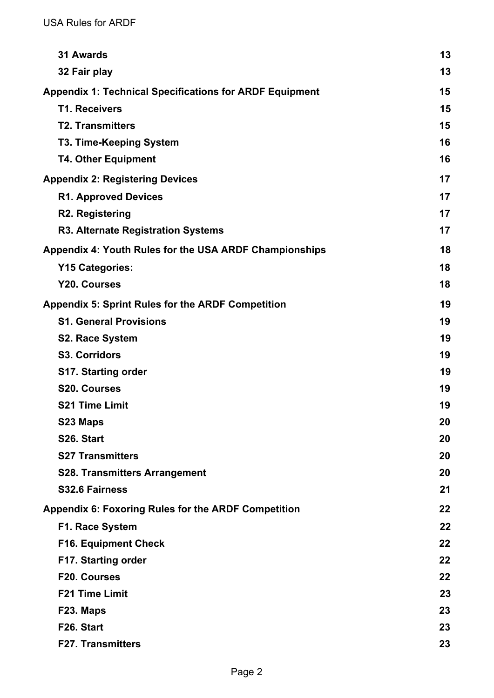| <b>31 Awards</b>                                               | 13 |
|----------------------------------------------------------------|----|
| 32 Fair play                                                   | 13 |
| <b>Appendix 1: Technical Specifications for ARDF Equipment</b> | 15 |
| <b>T1. Receivers</b>                                           | 15 |
| <b>T2. Transmitters</b>                                        | 15 |
| <b>T3. Time-Keeping System</b>                                 | 16 |
| <b>T4. Other Equipment</b>                                     | 16 |
| <b>Appendix 2: Registering Devices</b>                         | 17 |
| <b>R1. Approved Devices</b>                                    | 17 |
| <b>R2. Registering</b>                                         | 17 |
| <b>R3. Alternate Registration Systems</b>                      | 17 |
| Appendix 4: Youth Rules for the USA ARDF Championships         | 18 |
| <b>Y15 Categories:</b>                                         | 18 |
| <b>Y20. Courses</b>                                            | 18 |
| <b>Appendix 5: Sprint Rules for the ARDF Competition</b>       | 19 |
| <b>S1. General Provisions</b>                                  | 19 |
| <b>S2. Race System</b>                                         | 19 |
| <b>S3. Corridors</b>                                           | 19 |
| <b>S17. Starting order</b>                                     | 19 |
| <b>S20. Courses</b>                                            | 19 |
| <b>S21 Time Limit</b>                                          | 19 |
| S23 Maps                                                       | 20 |
| S26. Start                                                     | 20 |
| <b>S27 Transmitters</b>                                        | 20 |
| <b>S28. Transmitters Arrangement</b>                           | 20 |
| S32.6 Fairness                                                 | 21 |
| <b>Appendix 6: Foxoring Rules for the ARDF Competition</b>     | 22 |
| F1. Race System                                                | 22 |
| <b>F16. Equipment Check</b>                                    | 22 |
| <b>F17. Starting order</b>                                     | 22 |
| F20. Courses                                                   | 22 |
| <b>F21 Time Limit</b>                                          | 23 |
| F23. Maps                                                      | 23 |
| F26. Start                                                     | 23 |
| <b>F27. Transmitters</b>                                       | 23 |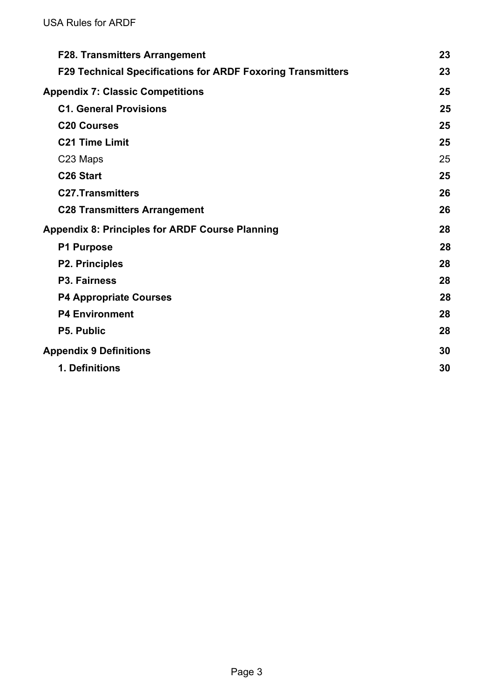| <b>F28. Transmitters Arrangement</b>                               | 23 |
|--------------------------------------------------------------------|----|
| <b>F29 Technical Specifications for ARDF Foxoring Transmitters</b> | 23 |
| <b>Appendix 7: Classic Competitions</b>                            | 25 |
| <b>C1. General Provisions</b>                                      | 25 |
| <b>C20 Courses</b>                                                 | 25 |
| <b>C21 Time Limit</b>                                              | 25 |
| C23 Maps                                                           | 25 |
| C <sub>26</sub> Start                                              | 25 |
| <b>C27.Transmitters</b>                                            | 26 |
| <b>C28 Transmitters Arrangement</b>                                | 26 |
| <b>Appendix 8: Principles for ARDF Course Planning</b>             | 28 |
| <b>P1 Purpose</b>                                                  | 28 |
| <b>P2. Principles</b>                                              | 28 |
| P3. Fairness                                                       | 28 |
| <b>P4 Appropriate Courses</b>                                      | 28 |
| <b>P4 Environment</b>                                              | 28 |
| <b>P5. Public</b>                                                  | 28 |
| <b>Appendix 9 Definitions</b>                                      | 30 |
| 1. Definitions                                                     | 30 |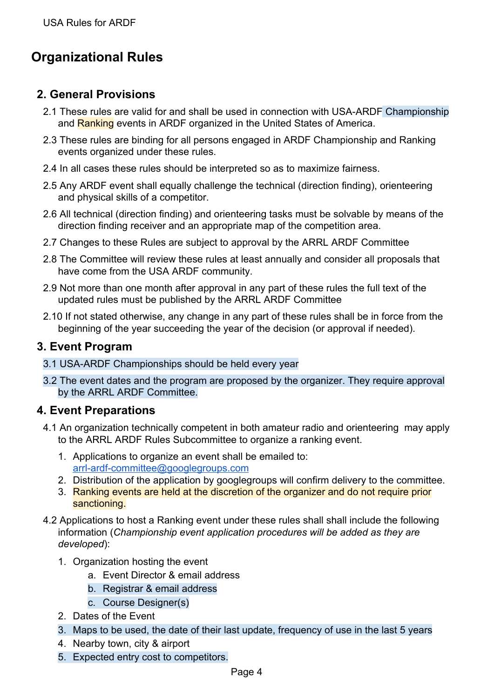# <span id="page-4-0"></span>**Organizational Rules**

# <span id="page-4-1"></span>**2. General Provisions**

- 2.1 These rules are valid for and shall be used in connection with USA-ARDF Championship and Ranking events in ARDF organized in the United States of America.
- 2.3 These rules are binding for all persons engaged in ARDF Championship and Ranking events organized under these rules.
- 2.4 In all cases these rules should be interpreted so as to maximize fairness.
- 2.5 Any ARDF event shall equally challenge the technical (direction finding), orienteering and physical skills of a competitor.
- 2.6 All technical (direction finding) and orienteering tasks must be solvable by means of the direction finding receiver and an appropriate map of the competition area.
- 2.7 Changes to these Rules are subject to approval by the ARRL ARDF Committee
- 2.8 The Committee will review these rules at least annually and consider all proposals that have come from the USA ARDF community.
- 2.9 Not more than one month after approval in any part of these rules the full text of the updated rules must be published by the ARRL ARDF Committee
- 2.10 If not stated otherwise, any change in any part of these rules shall be in force from the beginning of the year succeeding the year of the decision (or approval if needed).

#### <span id="page-4-2"></span>**3. Event Program**

- 3.1 USA-ARDF Championships should be held every year
- 3.2 The event dates and the program are proposed by the organizer. They require approval by the ARRL ARDF Committee.

#### <span id="page-4-3"></span>**4. Event Preparations**

- 4.1 An organization technically competent in both amateur radio and orienteering may apply to the ARRL ARDF Rules Subcommittee to organize a ranking event.
	- 1. Applications to organize an event shall be emailed to: [arrl-ardf-committee@googlegroups.com](mailto:arrl-ardf-committee@googlegroups.com)
	- 2. Distribution of the application by googlegroups will confirm delivery to the committee.
	- 3. Ranking events are held at the discretion of the organizer and do not require prior sanctioning.
- 4.2 Applications to host a Ranking event under these rules shall shall include the following information (*Championship event application procedures will be added as they are developed*):
	- 1. Organization hosting the event
		- a. Event Director & email address
		- b. Registrar & email address
		- c. Course Designer(s)
	- 2. Dates of the Event
	- 3. Maps to be used, the date of their last update, frequency of use in the last 5 years
	- 4. Nearby town, city & airport
	- 5. Expected entry cost to competitors.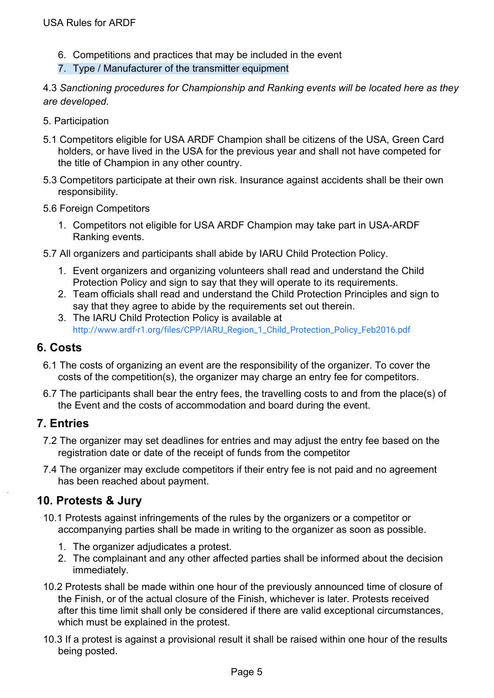- 6. Competitions and practices that may be included in the event
- 7. Type / Manufacturer of the transmitter equipment

4.3 *Sanctioning procedures for Championship and Ranking events will be located here as they are developed.*

- 5. Participation
- 5.1 Competitors eligible for USA ARDF Champion shall be citizens of the USA, Green Card holders, or have lived in the USA for the previous year and shall not have competed for the title of Champion in any other country.
- 5.3 Competitors participate at their own risk. Insurance against accidents shall be their own responsibility.
- 5.6 Foreign Competitors
	- 1. Competitors not eligible for USA ARDF Champion may take part in USA-ARDF Ranking events.
- 5.7 All organizers and participants shall abide by IARU Child Protection Policy.
	- 1. Event organizers and organizing volunteers shall read and understand the Child Protection Policy and sign to say that they will operate to its requirements.
	- 2. Team officials shall read and understand the Child Protection Principles and sign to say that they agree to abide by the requirements set out therein.
	- 3. The IARU Child Protection Policy is available at [http://www.ardf-r1.org/files/CPP/IARU\\_Region\\_1\\_Child\\_Protection\\_Policy\\_Feb2016.pdf](http://www.ardf-r1.org/files/CPP/IARU_Region_1_Child_Protection_Policy_Feb2016.pdf)

## <span id="page-5-0"></span>**6. Costs**

- 6.1 The costs of organizing an event are the responsibility of the organizer. To cover the costs of the competition(s), the organizer may charge an entry fee for competitors.
- 6.7 The participants shall bear the entry fees, the travelling costs to and from the place(s) of the Event and the costs of accommodation and board during the event.

#### <span id="page-5-1"></span>**7. Entries**

- 7.2 The organizer may set deadlines for entries and may adjust the entry fee based on the registration date or date of the receipt of funds from the competitor
- 7.4 The organizer may exclude competitors if their entry fee is not paid and no agreement has been reached about payment.

# <span id="page-5-2"></span>**10. Protests & Jury**

- 10.1 Protests against infringements of the rules by the organizers or a competitor or accompanying parties shall be made in writing to the organizer as soon as possible.
	- 1. The organizer adjudicates a protest.
	- 2. The complainant and any other affected parties shall be informed about the decision immediately.
- 10.2 Protests shall be made within one hour of the previously announced time of closure of the Finish, or of the actual closure of the Finish, whichever is later. Protests received after this time limit shall only be considered if there are valid exceptional circumstances, which must be explained in the protest.
- 10.3 If a protest is against a provisional result it shall be raised within one hour of the results being posted.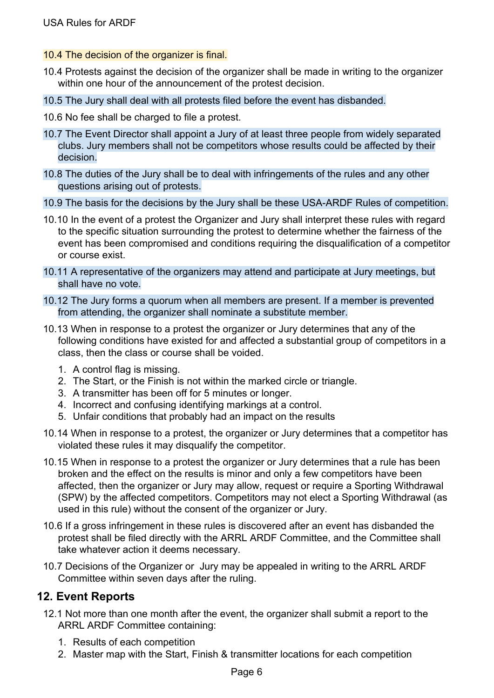- 10.4 The decision of the organizer is final.
- 10.4 Protests against the decision of the organizer shall be made in writing to the organizer within one hour of the announcement of the protest decision.
- 10.5 The Jury shall deal with all protests filed before the event has disbanded.
- 10.6 No fee shall be charged to file a protest.
- 10.7 The Event Director shall appoint a Jury of at least three people from widely separated clubs. Jury members shall not be competitors whose results could be affected by their decision.
- 10.8 The duties of the Jury shall be to deal with infringements of the rules and any other questions arising out of protests.
- 10.9 The basis for the decisions by the Jury shall be these USA-ARDF Rules of competition.
- 10.10 In the event of a protest the Organizer and Jury shall interpret these rules with regard to the specific situation surrounding the protest to determine whether the fairness of the event has been compromised and conditions requiring the disqualification of a competitor or course exist.
- 10.11 A representative of the organizers may attend and participate at Jury meetings, but shall have no vote.
- 10.12 The Jury forms a quorum when all members are present. If a member is prevented from attending, the organizer shall nominate a substitute member.
- 10.13 When in response to a protest the organizer or Jury determines that any of the following conditions have existed for and affected a substantial group of competitors in a class, then the class or course shall be voided.
	- 1. A control flag is missing.
	- 2. The Start, or the Finish is not within the marked circle or triangle.
	- 3. A transmitter has been off for 5 minutes or longer.
	- 4. Incorrect and confusing identifying markings at a control.
	- 5. Unfair conditions that probably had an impact on the results
- 10.14 When in response to a protest, the organizer or Jury determines that a competitor has violated these rules it may disqualify the competitor.
- 10.15 When in response to a protest the organizer or Jury determines that a rule has been broken and the effect on the results is minor and only a few competitors have been affected, then the organizer or Jury may allow, request or require a Sporting Withdrawal (SPW) by the affected competitors. Competitors may not elect a Sporting Withdrawal (as used in this rule) without the consent of the organizer or Jury.
- 10.6 If a gross infringement in these rules is discovered after an event has disbanded the protest shall be filed directly with the ARRL ARDF Committee, and the Committee shall take whatever action it deems necessary.
- 10.7 Decisions of the Organizer or Jury may be appealed in writing to the ARRL ARDF Committee within seven days after the ruling.

# <span id="page-6-0"></span>**12. Event Reports**

- 12.1 Not more than one month after the event, the organizer shall submit a report to the ARRL ARDF Committee containing:
	- 1. Results of each competition
	- 2. Master map with the Start, Finish & transmitter locations for each competition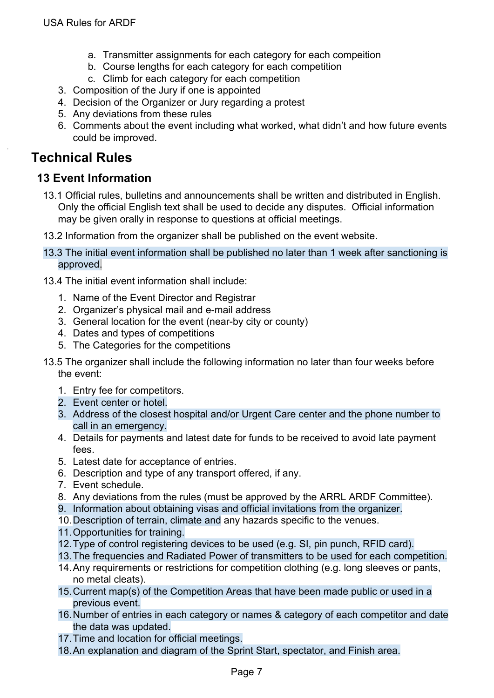- a. Transmitter assignments for each category for each compeition
- b. Course lengths for each category for each competition
- c. Climb for each category for each competition
- 3. Composition of the Jury if one is appointed
- 4. Decision of the Organizer or Jury regarding a protest
- 5. Any deviations from these rules
- 6. Comments about the event including what worked, what didn't and how future events could be improved.

# <span id="page-7-0"></span>**Technical Rules**

# <span id="page-7-1"></span>**13 Event Information**

- 13.1 Official rules, bulletins and announcements shall be written and distributed in English. Only the official English text shall be used to decide any disputes. Official information may be given orally in response to questions at official meetings.
- 13.2 Information from the organizer shall be published on the event website.
- 13.3 The initial event information shall be published no later than 1 week after sanctioning is approved.
- 13.4 The initial event information shall include:
	- 1. Name of the Event Director and Registrar
	- 2. Organizer's physical mail and e-mail address
	- 3. General location for the event (near-by city or county)
	- 4. Dates and types of competitions
	- 5. The Categories for the competitions
- 13.5 The organizer shall include the following information no later than four weeks before the event:
	- 1. Entry fee for competitors.
	- 2. Event center or hotel.
	- 3. Address of the closest hospital and/or Urgent Care center and the phone number to call in an emergency.
	- 4. Details for payments and latest date for funds to be received to avoid late payment fees.
	- 5. Latest date for acceptance of entries.
	- 6. Description and type of any transport offered, if any.
	- 7. Event schedule.
	- 8. Any deviations from the rules (must be approved by the ARRL ARDF Committee).
	- 9. Information about obtaining visas and official invitations from the organizer.
	- 10.Description of terrain, climate and any hazards specific to the venues.
	- 11.Opportunities for training.
	- 12.Type of control registering devices to be used (e.g. SI, pin punch, RFID card).
	- 13.The frequencies and Radiated Power of transmitters to be used for each competition.
	- 14.Any requirements or restrictions for competition clothing (e.g. long sleeves or pants, no metal cleats).
	- 15.Current map(s) of the Competition Areas that have been made public or used in a previous event.
	- 16.Number of entries in each category or names & category of each competitor and date the data was updated.
	- 17.Time and location for official meetings.
	- 18.An explanation and diagram of the Sprint Start, spectator, and Finish area.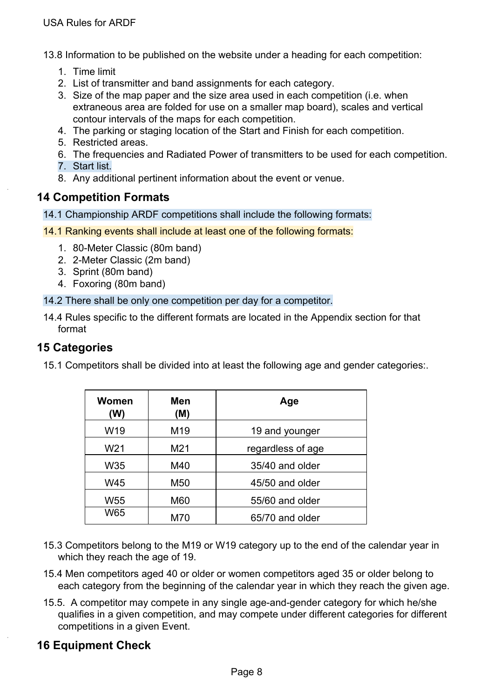13.8 Information to be published on the website under a heading for each competition:

- 1. Time limit
- 2. List of transmitter and band assignments for each category.
- 3. Size of the map paper and the size area used in each competition (i.e. when extraneous area are folded for use on a smaller map board), scales and vertical contour intervals of the maps for each competition.
- 4. The parking or staging location of the Start and Finish for each competition.
- 5. Restricted areas.
- 6. The frequencies and Radiated Power of transmitters to be used for each competition.
- 7. Start list.
- 8. Any additional pertinent information about the event or venue.

#### <span id="page-8-0"></span>**14 Competition Formats**

- 14.1 Championship ARDF competitions shall include the following formats:
- 14.1 Ranking events shall include at least one of the following formats:
	- 1. 80-Meter Classic (80m band)
	- 2. 2-Meter Classic (2m band)
	- 3. Sprint (80m band)
	- 4. Foxoring (80m band)
- 14.2 There shall be only one competition per day for a competitor.
- 14.4 Rules specific to the different formats are located in the Appendix section for that format

#### <span id="page-8-1"></span>**15 Categories**

15.1 Competitors shall be divided into at least the following age and gender categories:.

| Women<br>(W)    | Men<br>(M) | Age               |
|-----------------|------------|-------------------|
| W19             | M19        | 19 and younger    |
| W <sub>21</sub> | M21        | regardless of age |
| W35             | M40        | 35/40 and older   |
| W45             | M50        | 45/50 and older   |
| W55             | M60        | 55/60 and older   |
| W65             | M70        | 65/70 and older   |

- 15.3 Competitors belong to the M19 or W19 category up to the end of the calendar year in which they reach the age of 19.
- 15.4 Men competitors aged 40 or older or women competitors aged 35 or older belong to each category from the beginning of the calendar year in which they reach the given age.
- 15.5. A competitor may compete in any single age-and-gender category for which he/she qualifies in a given competition, and may compete under different categories for different competitions in a given Event.

# <span id="page-8-2"></span>**16 Equipment Check**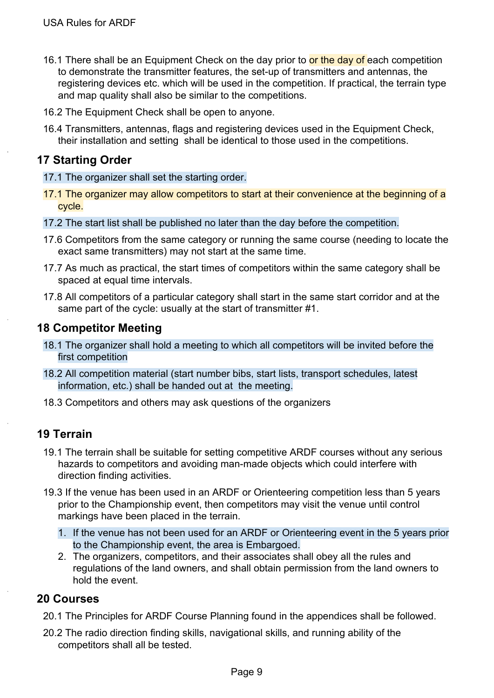- 16.1 There shall be an Equipment Check on the day prior to or the day of each competition to demonstrate the transmitter features, the set-up of transmitters and antennas, the registering devices etc. which will be used in the competition. If practical, the terrain type and map quality shall also be similar to the competitions.
- 16.2 The Equipment Check shall be open to anyone.
- 16.4 Transmitters, antennas, flags and registering devices used in the Equipment Check, their installation and setting shall be identical to those used in the competitions.

# <span id="page-9-0"></span>**17 Starting Order**

- 17.1 The organizer shall set the starting order.
- 17.1 The organizer may allow competitors to start at their convenience at the beginning of a cycle.
- 17.2 The start list shall be published no later than the day before the competition.
- 17.6 Competitors from the same category or running the same course (needing to locate the exact same transmitters) may not start at the same time.
- 17.7 As much as practical, the start times of competitors within the same category shall be spaced at equal time intervals.
- 17.8 All competitors of a particular category shall start in the same start corridor and at the same part of the cycle: usually at the start of transmitter #1.

### <span id="page-9-1"></span>**18 Competitor Meeting**

- 18.1 The organizer shall hold a meeting to which all competitors will be invited before the first competition
- 18.2 All competition material (start number bibs, start lists, transport schedules, latest information, etc.) shall be handed out at the meeting.
- 18.3 Competitors and others may ask questions of the organizers

# <span id="page-9-2"></span>**19 Terrain**

- 19.1 The terrain shall be suitable for setting competitive ARDF courses without any serious hazards to competitors and avoiding man-made objects which could interfere with direction finding activities.
- 19.3 If the venue has been used in an ARDF or Orienteering competition less than 5 years prior to the Championship event, then competitors may visit the venue until control markings have been placed in the terrain.
	- 1. If the venue has not been used for an ARDF or Orienteering event in the 5 years prior to the Championship event, the area is Embargoed.
	- 2. The organizers, competitors, and their associates shall obey all the rules and regulations of the land owners, and shall obtain permission from the land owners to hold the event.

#### <span id="page-9-3"></span>**20 Courses**

- 20.1 The Principles for ARDF Course Planning found in the appendices shall be followed.
- 20.2 The radio direction finding skills, navigational skills, and running ability of the competitors shall all be tested.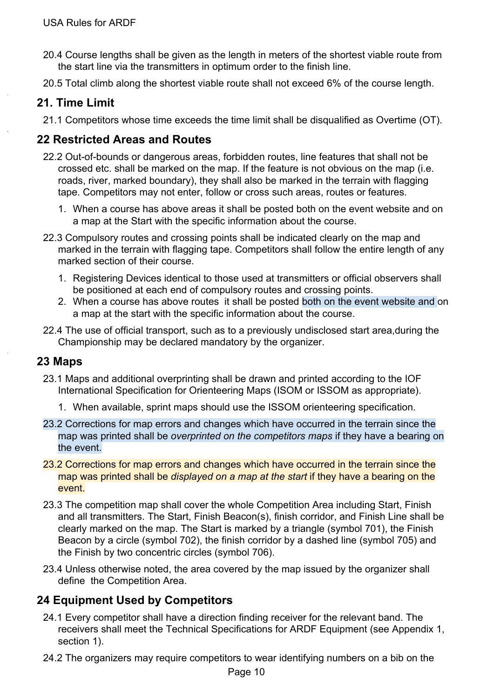- 20.4 Course lengths shall be given as the length in meters of the shortest viable route from the start line via the transmitters in optimum order to the finish line.
- 20.5 Total climb along the shortest viable route shall not exceed 6% of the course length.

# <span id="page-10-0"></span>**21. Time Limit**

21.1 Competitors whose time exceeds the time limit shall be disqualified as Overtime (OT).

# <span id="page-10-1"></span>**22 Restricted Areas and Routes**

- 22.2 Out-of-bounds or dangerous areas, forbidden routes, line features that shall not be crossed etc. shall be marked on the map. If the feature is not obvious on the map (i.e. roads, river, marked boundary), they shall also be marked in the terrain with flagging tape. Competitors may not enter, follow or cross such areas, routes or features.
	- 1. When a course has above areas it shall be posted both on the event website and on a map at the Start with the specific information about the course.
- 22.3 Compulsory routes and crossing points shall be indicated clearly on the map and marked in the terrain with flagging tape. Competitors shall follow the entire length of any marked section of their course.
	- 1. Registering Devices identical to those used at transmitters or official observers shall be positioned at each end of compulsory routes and crossing points.
	- 2. When a course has above routes it shall be posted both on the event website and on a map at the start with the specific information about the course.
- 22.4 The use of official transport, such as to a previously undisclosed start area,during the Championship may be declared mandatory by the organizer.

# <span id="page-10-2"></span>**23 Maps**

- 23.1 Maps and additional overprinting shall be drawn and printed according to the IOF International Specification for Orienteering Maps (ISOM or ISSOM as appropriate).
	- 1. When available, sprint maps should use the ISSOM orienteering specification.
- 23.2 Corrections for map errors and changes which have occurred in the terrain since the map was printed shall be *overprinted on the competitors maps* if they have a bearing on the event.
- 23.2 Corrections for map errors and changes which have occurred in the terrain since the map was printed shall be *displayed on a map at the start* if they have a bearing on the event.
- 23.3 The competition map shall cover the whole Competition Area including Start, Finish and all transmitters. The Start, Finish Beacon(s), finish corridor, and Finish Line shall be clearly marked on the map. The Start is marked by a triangle (symbol 701), the Finish Beacon by a circle (symbol 702), the finish corridor by a dashed line (symbol 705) and the Finish by two concentric circles (symbol 706).
- 23.4 Unless otherwise noted, the area covered by the map issued by the organizer shall define the Competition Area.

# <span id="page-10-3"></span>**24 Equipment Used by Competitors**

- 24.1 Every competitor shall have a direction finding receiver for the relevant band. The receivers shall meet the Technical Specifications for ARDF Equipment (see Appendix 1, section 1).
- 24.2 The organizers may require competitors to wear identifying numbers on a bib on the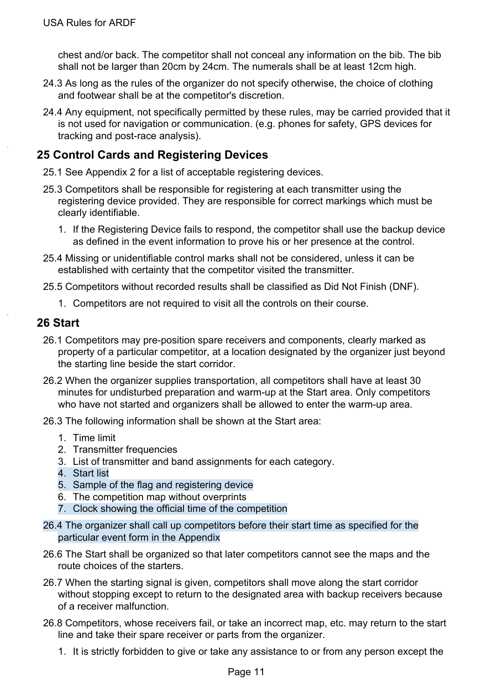chest and/or back. The competitor shall not conceal any information on the bib. The bib shall not be larger than 20cm by 24cm. The numerals shall be at least 12cm high.

- 24.3 As long as the rules of the organizer do not specify otherwise, the choice of clothing and footwear shall be at the competitor's discretion.
- 24.4 Any equipment, not specifically permitted by these rules, may be carried provided that it is not used for navigation or communication. (e.g. phones for safety, GPS devices for tracking and post-race analysis).

## <span id="page-11-0"></span>**25 Control Cards and Registering Devices**

- 25.1 See Appendix 2 for a list of acceptable registering devices.
- 25.3 Competitors shall be responsible for registering at each transmitter using the registering device provided. They are responsible for correct markings which must be clearly identifiable.
	- 1. If the Registering Device fails to respond, the competitor shall use the backup device as defined in the event information to prove his or her presence at the control.
- 25.4 Missing or unidentifiable control marks shall not be considered, unless it can be established with certainty that the competitor visited the transmitter.
- 25.5 Competitors without recorded results shall be classified as Did Not Finish (DNF).
	- 1. Competitors are not required to visit all the controls on their course.

#### <span id="page-11-1"></span>**26 Start**

- 26.1 Competitors may pre-position spare receivers and components, clearly marked as property of a particular competitor, at a location designated by the organizer just beyond the starting line beside the start corridor.
- 26.2 When the organizer supplies transportation, all competitors shall have at least 30 minutes for undisturbed preparation and warm-up at the Start area. Only competitors who have not started and organizers shall be allowed to enter the warm-up area.
- 26.3 The following information shall be shown at the Start area:
	- 1. Time limit
	- 2. Transmitter frequencies
	- 3. List of transmitter and band assignments for each category.
	- 4. Start list
	- 5. Sample of the flag and registering device
	- 6. The competition map without overprints
	- 7. Clock showing the official time of the competition
- 26.4 The organizer shall call up competitors before their start time as specified for the particular event form in the Appendix
- 26.6 The Start shall be organized so that later competitors cannot see the maps and the route choices of the starters.
- 26.7 When the starting signal is given, competitors shall move along the start corridor without stopping except to return to the designated area with backup receivers because of a receiver malfunction.
- 26.8 Competitors, whose receivers fail, or take an incorrect map, etc. may return to the start line and take their spare receiver or parts from the organizer.
	- 1. It is strictly forbidden to give or take any assistance to or from any person except the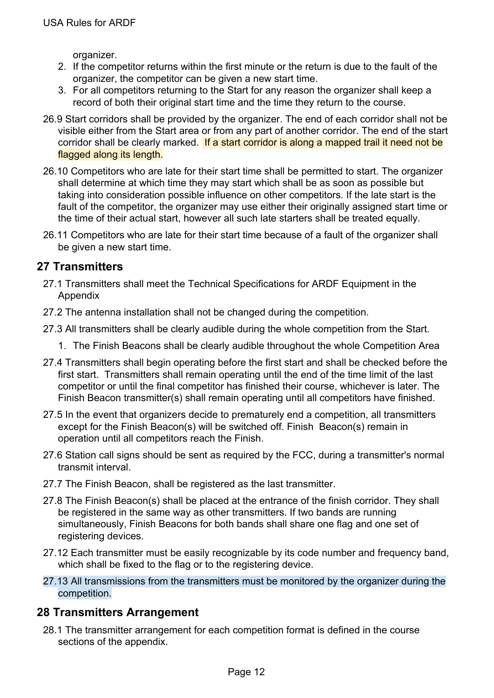organizer.

- 2. If the competitor returns within the first minute or the return is due to the fault of the organizer, the competitor can be given a new start time.
- 3. For all competitors returning to the Start for any reason the organizer shall keep a record of both their original start time and the time they return to the course.
- 26.9 Start corridors shall be provided by the organizer. The end of each corridor shall not be visible either from the Start area or from any part of another corridor. The end of the start corridor shall be clearly marked. If a start corridor is along a mapped trail it need not be flagged along its length.
- 26.10 Competitors who are late for their start time shall be permitted to start. The organizer shall determine at which time they may start which shall be as soon as possible but taking into consideration possible influence on other competitors. If the late start is the fault of the competitor, the organizer may use either their originally assigned start time or the time of their actual start, however all such late starters shall be treated equally.
- 26.11 Competitors who are late for their start time because of a fault of the organizer shall be given a new start time.

# <span id="page-12-0"></span>**27 Transmitters**

- 27.1 Transmitters shall meet the Technical Specifications for ARDF Equipment in the Appendix
- 27.2 The antenna installation shall not be changed during the competition.
- 27.3 All transmitters shall be clearly audible during the whole competition from the Start.
	- 1. The Finish Beacons shall be clearly audible throughout the whole Competition Area
- 27.4 Transmitters shall begin operating before the first start and shall be checked before the first start. Transmitters shall remain operating until the end of the time limit of the last competitor or until the final competitor has finished their course, whichever is later. The Finish Beacon transmitter(s) shall remain operating until all competitors have finished.
- 27.5 In the event that organizers decide to prematurely end a competition, all transmitters except for the Finish Beacon(s) will be switched off. Finish Beacon(s) remain in operation until all competitors reach the Finish.
- 27.6 Station call signs should be sent as required by the FCC, during a transmitter's normal transmit interval.
- 27.7 The Finish Beacon, shall be registered as the last transmitter.
- 27.8 The Finish Beacon(s) shall be placed at the entrance of the finish corridor. They shall be registered in the same way as other transmitters. If two bands are running simultaneously, Finish Beacons for both bands shall share one flag and one set of registering devices.
- 27.12 Each transmitter must be easily recognizable by its code number and frequency band, which shall be fixed to the flag or to the registering device.
- 27.13 All transmissions from the transmitters must be monitored by the organizer during the competition.

# <span id="page-12-1"></span>**28 Transmitters Arrangement**

28.1 The transmitter arrangement for each competition format is defined in the course sections of the appendix.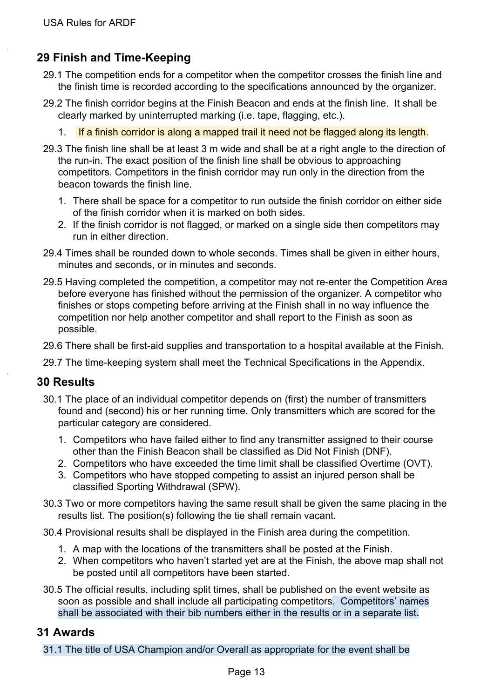# <span id="page-13-0"></span>**29 Finish and Time-Keeping**

- 29.1 The competition ends for a competitor when the competitor crosses the finish line and the finish time is recorded according to the specifications announced by the organizer.
- 29.2 The finish corridor begins at the Finish Beacon and ends at the finish line. It shall be clearly marked by uninterrupted marking (i.e. tape, flagging, etc.).
	- 1. If a finish corridor is along a mapped trail it need not be flagged along its length.
- 29.3 The finish line shall be at least 3 m wide and shall be at a right angle to the direction of the run-in. The exact position of the finish line shall be obvious to approaching competitors. Competitors in the finish corridor may run only in the direction from the beacon towards the finish line.
	- 1. There shall be space for a competitor to run outside the finish corridor on either side of the finish corridor when it is marked on both sides.
	- 2. If the finish corridor is not flagged, or marked on a single side then competitors may run in either direction.
- 29.4 Times shall be rounded down to whole seconds. Times shall be given in either hours, minutes and seconds, or in minutes and seconds.
- 29.5 Having completed the competition, a competitor may not re-enter the Competition Area before everyone has finished without the permission of the organizer. A competitor who finishes or stops competing before arriving at the Finish shall in no way influence the competition nor help another competitor and shall report to the Finish as soon as possible.
- 29.6 There shall be first-aid supplies and transportation to a hospital available at the Finish.
- 29.7 The time-keeping system shall meet the Technical Specifications in the Appendix.

# <span id="page-13-1"></span>**30 Results**

- 30.1 The place of an individual competitor depends on (first) the number of transmitters found and (second) his or her running time. Only transmitters which are scored for the particular category are considered.
	- 1. Competitors who have failed either to find any transmitter assigned to their course other than the Finish Beacon shall be classified as Did Not Finish (DNF).
	- 2. Competitors who have exceeded the time limit shall be classified Overtime (OVT).
	- 3. Competitors who have stopped competing to assist an injured person shall be classified Sporting Withdrawal (SPW).
- 30.3 Two or more competitors having the same result shall be given the same placing in the results list. The position(s) following the tie shall remain vacant.
- 30.4 Provisional results shall be displayed in the Finish area during the competition.
	- 1. A map with the locations of the transmitters shall be posted at the Finish.
	- 2. When competitors who haven't started yet are at the Finish, the above map shall not be posted until all competitors have been started.
- 30.5 The official results, including split times, shall be published on the event website as soon as possible and shall include all participating competitors. Competitors' names shall be associated with their bib numbers either in the results or in a separate list.

#### <span id="page-13-2"></span>**31 Awards**

31.1 The title of USA Champion and/or Overall as appropriate for the event shall be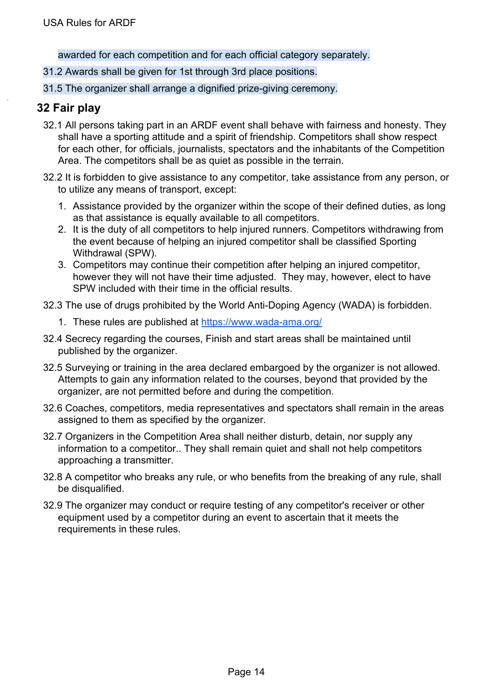awarded for each competition and for each official category separately.

- 31.2 Awards shall be given for 1st through 3rd place positions.
- 31.5 The organizer shall arrange a dignified prize-giving ceremony.

#### <span id="page-14-0"></span>**32 Fair play**

- 32.1 All persons taking part in an ARDF event shall behave with fairness and honesty. They shall have a sporting attitude and a spirit of friendship. Competitors shall show respect for each other, for officials, journalists, spectators and the inhabitants of the Competition Area. The competitors shall be as quiet as possible in the terrain.
- 32.2 It is forbidden to give assistance to any competitor, take assistance from any person, or to utilize any means of transport, except:
	- 1. Assistance provided by the organizer within the scope of their defined duties, as long as that assistance is equally available to all competitors.
	- 2. It is the duty of all competitors to help injured runners. Competitors withdrawing from the event because of helping an injured competitor shall be classified Sporting Withdrawal (SPW).
	- 3. Competitors may continue their competition after helping an injured competitor, however they will not have their time adjusted. They may, however, elect to have SPW included with their time in the official results.
- 32.3 The use of drugs prohibited by the World Anti-Doping Agency (WADA) is forbidden.
	- 1. These rules are published at <https://www.wada-ama.org/>
- 32.4 Secrecy regarding the courses, Finish and start areas shall be maintained until published by the organizer.
- 32.5 Surveying or training in the area declared embargoed by the organizer is not allowed. Attempts to gain any information related to the courses, beyond that provided by the organizer, are not permitted before and during the competition.
- 32.6 Coaches, competitors, media representatives and spectators shall remain in the areas assigned to them as specified by the organizer.
- 32.7 Organizers in the Competition Area shall neither disturb, detain, nor supply any information to a competitor.. They shall remain quiet and shall not help competitors approaching a transmitter.
- 32.8 A competitor who breaks any rule, or who benefits from the breaking of any rule, shall be disqualified.
- 32.9 The organizer may conduct or require testing of any competitor's receiver or other equipment used by a competitor during an event to ascertain that it meets the requirements in these rules.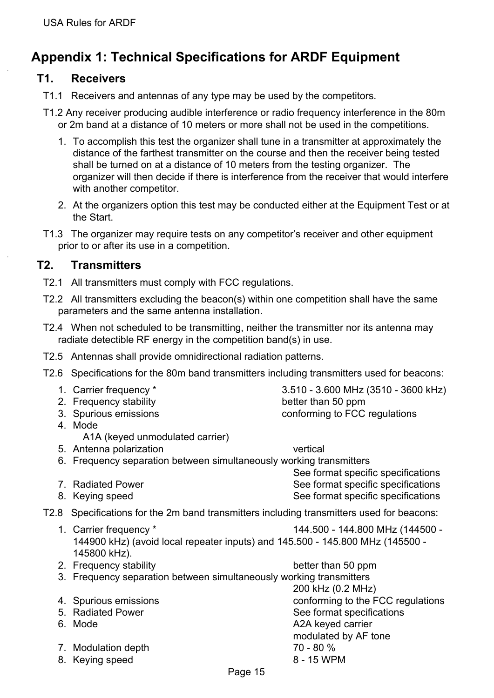# <span id="page-15-0"></span>**Appendix 1: Technical Specifications for ARDF Equipment**

#### <span id="page-15-1"></span>**T1. Receivers**

- T1.1 Receivers and antennas of any type may be used by the competitors.
- T1.2 Any receiver producing audible interference or radio frequency interference in the 80m or 2m band at a distance of 10 meters or more shall not be used in the competitions.
	- 1. To accomplish this test the organizer shall tune in a transmitter at approximately the distance of the farthest transmitter on the course and then the receiver being tested shall be turned on at a distance of 10 meters from the testing organizer. The organizer will then decide if there is interference from the receiver that would interfere with another competitor.
	- 2. At the organizers option this test may be conducted either at the Equipment Test or at the Start.
- T1.3 The organizer may require tests on any competitor's receiver and other equipment prior to or after its use in a competition.

#### <span id="page-15-2"></span>**T2. Transmitters**

- T2.1 All transmitters must comply with FCC regulations.
- T2.2 All transmitters excluding the beacon(s) within one competition shall have the same parameters and the same antenna installation.
- T2.4 When not scheduled to be transmitting, neither the transmitter nor its antenna may radiate detectible RF energy in the competition band(s) in use.
- T2.5 Antennas shall provide omnidirectional radiation patterns.
- T2.6 Specifications for the 80m band transmitters including transmitters used for beacons:

| 1. Carrier frequency *                                                                                                  | 3.510 - 3.600 MHz (3510 - 3600 kHz) |
|-------------------------------------------------------------------------------------------------------------------------|-------------------------------------|
| 2. Frequency stability                                                                                                  | better than 50 ppm                  |
| 3. Spurious emissions                                                                                                   | conforming to FCC regulations       |
| 4. Mode                                                                                                                 |                                     |
| A1A (keyed unmodulated carrier)                                                                                         |                                     |
| 5. Antenna polarization                                                                                                 | vertical                            |
| 6. Frequency separation between simultaneously working transmitters                                                     |                                     |
|                                                                                                                         | See format specific specifications  |
| 7. Radiated Power                                                                                                       | See format specific specifications  |
| 8. Keying speed                                                                                                         | See format specific specifications  |
| T2.8 Specifications for the 2m band transmitters including transmitters used for beacons:                               |                                     |
| 1. Carrier frequency *<br>144900 kHz) (avoid local repeater inputs) and 145.500 - 145.800 MHz (145500 -<br>145800 kHz). | 144.500 - 144.800 MHz (144500 -     |
| 2. Frequency stability                                                                                                  | better than 50 ppm                  |
| 3. Frequency separation between simultaneously working transmitters                                                     |                                     |
|                                                                                                                         | 200 kHz (0.2 MHz)                   |
| 4 Spurious emissions                                                                                                    | conforming to the FCC regulations   |
| 5. Radiated Power                                                                                                       | See format specifications           |
| 6. Mode                                                                                                                 | A2A keyed carrier                   |
|                                                                                                                         | modulated by AF tone                |
| 7. Modulation depth                                                                                                     | 70 - 80 %                           |
| 8. Keying speed                                                                                                         | 8 - 15 WPM                          |
| Page 15                                                                                                                 |                                     |
|                                                                                                                         |                                     |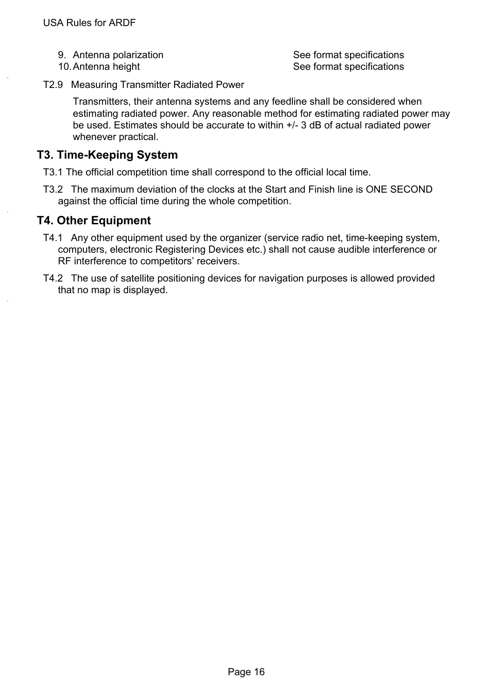- 
- 

9. Antenna polarization See format specifications 10. Antenna height See format specifications

T2.9 Measuring Transmitter Radiated Power

Transmitters, their antenna systems and any feedline shall be considered when estimating radiated power. Any reasonable method for estimating radiated power may be used. Estimates should be accurate to within +/- 3 dB of actual radiated power whenever practical.

### <span id="page-16-0"></span>**T3. Time-Keeping System**

- T3.1 The official competition time shall correspond to the official local time.
- T3.2 The maximum deviation of the clocks at the Start and Finish line is ONE SECOND against the official time during the whole competition.

### <span id="page-16-1"></span>**T4. Other Equipment**

- T4.1 Any other equipment used by the organizer (service radio net, time-keeping system, computers, electronic Registering Devices etc.) shall not cause audible interference or RF interference to competitors' receivers.
- T4.2 The use of satellite positioning devices for navigation purposes is allowed provided that no map is displayed.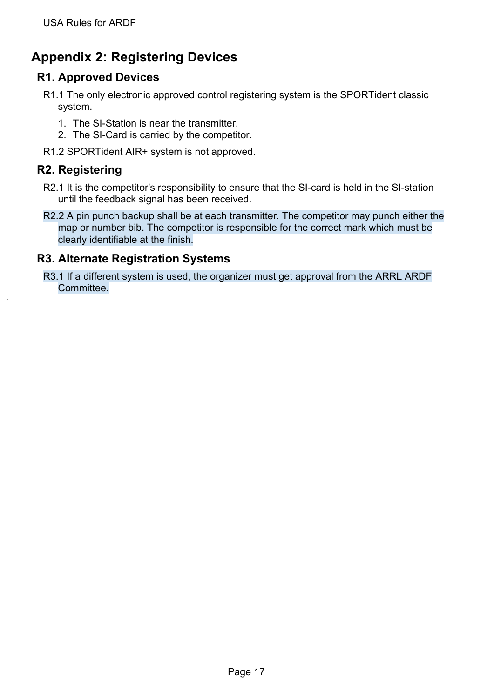# <span id="page-17-0"></span>**Appendix 2: Registering Devices**

# <span id="page-17-1"></span>**R1. Approved Devices**

- R1.1 The only electronic approved control registering system is the SPORTident classic system.
	- 1. The SI-Station is near the transmitter.
	- 2. The SI-Card is carried by the competitor.
- R1.2 SPORTident AIR+ system is not approved.

# <span id="page-17-2"></span>**R2. Registering**

- R2.1 It is the competitor's responsibility to ensure that the SI-card is held in the SI-station until the feedback signal has been received.
- R2.2 A pin punch backup shall be at each transmitter. The competitor may punch either the map or number bib. The competitor is responsible for the correct mark which must be clearly identifiable at the finish.

# <span id="page-17-3"></span>**R3. Alternate Registration Systems**

R3.1 If a different system is used, the organizer must get approval from the ARRL ARDF Committee.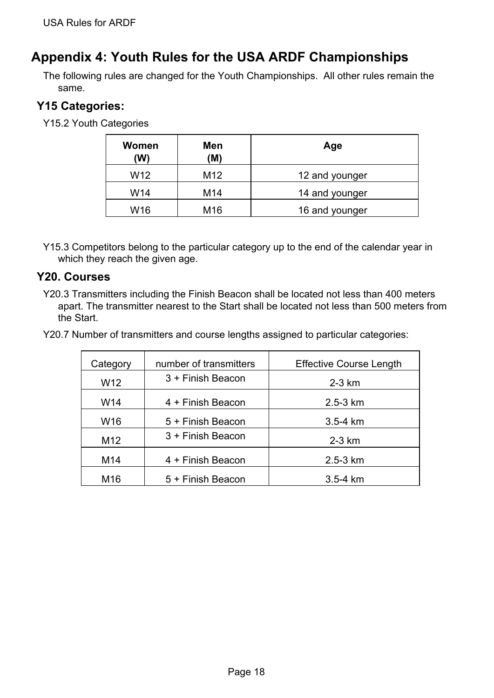# <span id="page-18-0"></span>**Appendix 4: Youth Rules for the USA ARDF Championships**

The following rules are changed for the Youth Championships. All other rules remain the same.

# <span id="page-18-1"></span>**Y15 Categories:**

Y15.2 Youth Categories

| Women<br>(W)    | Men<br>(M)      | Age            |
|-----------------|-----------------|----------------|
| W <sub>12</sub> | M <sub>12</sub> | 12 and younger |
| W14             | M14             | 14 and younger |
| W16             | M16             | 16 and younger |

Y15.3 Competitors belong to the particular category up to the end of the calendar year in which they reach the given age.

### <span id="page-18-2"></span>**Y20. Courses**

Y20.3 Transmitters including the Finish Beacon shall be located not less than 400 meters apart. The transmitter nearest to the Start shall be located not less than 500 meters from the Start.

Y20.7 Number of transmitters and course lengths assigned to particular categories:

| Category        | number of transmitters | <b>Effective Course Length</b> |
|-----------------|------------------------|--------------------------------|
| W <sub>12</sub> | 3 + Finish Beacon      | $2-3$ km                       |
| W14             | 4 + Finish Beacon      | $2.5 - 3 km$                   |
| W <sub>16</sub> | 5 + Finish Beacon      | $3.5 - 4 km$                   |
| M12             | 3 + Finish Beacon      | $2-3$ km                       |
| M14             | 4 + Finish Beacon      | $2.5 - 3 km$                   |
| M16             | 5 + Finish Beacon      | $3.5 - 4 km$                   |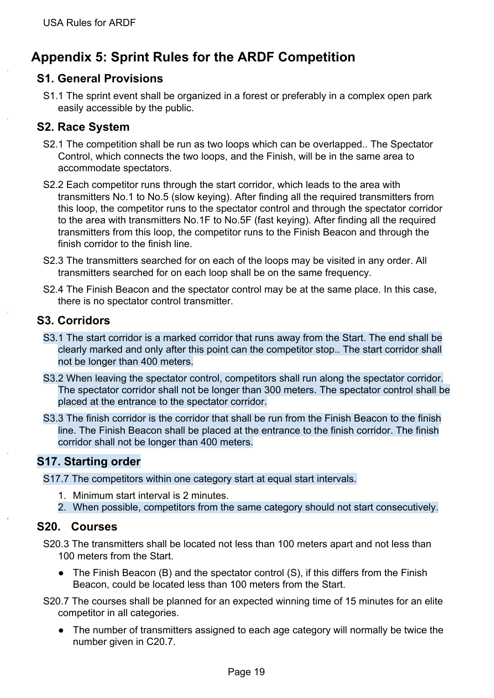# <span id="page-19-0"></span>**Appendix 5: Sprint Rules for the ARDF Competition**

# <span id="page-19-1"></span>**S1. General Provisions**

S1.1 The sprint event shall be organized in a forest or preferably in a complex open park easily accessible by the public.

#### <span id="page-19-2"></span>**S2. Race System**

- S2.1 The competition shall be run as two loops which can be overlapped.. The Spectator Control, which connects the two loops, and the Finish, will be in the same area to accommodate spectators.
- S2.2 Each competitor runs through the start corridor, which leads to the area with transmitters No.1 to No.5 (slow keying). After finding all the required transmitters from this loop, the competitor runs to the spectator control and through the spectator corridor to the area with transmitters No.1F to No.5F (fast keying). After finding all the required transmitters from this loop, the competitor runs to the Finish Beacon and through the finish corridor to the finish line.
- S2.3 The transmitters searched for on each of the loops may be visited in any order. All transmitters searched for on each loop shall be on the same frequency.
- S2.4 The Finish Beacon and the spectator control may be at the same place. In this case, there is no spectator control transmitter.

### <span id="page-19-3"></span>**S3. Corridors**

- S3.1 The start corridor is a marked corridor that runs away from the Start. The end shall be clearly marked and only after this point can the competitor stop.. The start corridor shall not be longer than 400 meters.
- S3.2 When leaving the spectator control, competitors shall run along the spectator corridor. The spectator corridor shall not be longer than 300 meters. The spectator control shall be placed at the entrance to the spectator corridor.
- S3.3 The finish corridor is the corridor that shall be run from the Finish Beacon to the finish line. The Finish Beacon shall be placed at the entrance to the finish corridor. The finish corridor shall not be longer than 400 meters.

# <span id="page-19-4"></span>**S17. Starting order**

S17.7 The competitors within one category start at equal start intervals.

- 1. Minimum start interval is 2 minutes.
- 2. When possible, competitors from the same category should not start consecutively.

#### <span id="page-19-5"></span>**S20. Courses**

- S20.3 The transmitters shall be located not less than 100 meters apart and not less than 100 meters from the Start.
	- The Finish Beacon (B) and the spectator control (S), if this differs from the Finish Beacon, could be located less than 100 meters from the Start.
- S20.7 The courses shall be planned for an expected winning time of 15 minutes for an elite competitor in all categories.
	- The number of transmitters assigned to each age category will normally be twice the number given in C20.7.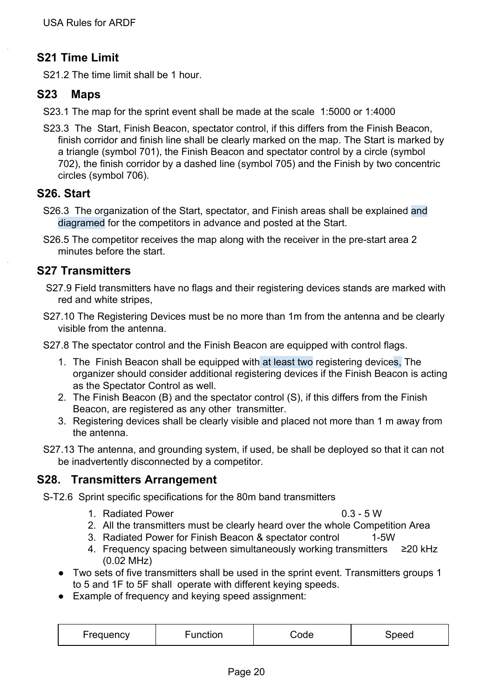# <span id="page-20-0"></span>**S21 Time Limit**

S21.2 The time limit shall be 1 hour.

# <span id="page-20-1"></span>**S23 Maps**

- S23.1 The map for the sprint event shall be made at the scale 1:5000 or 1:4000
- S23.3 The Start, Finish Beacon, spectator control, if this differs from the Finish Beacon, finish corridor and finish line shall be clearly marked on the map. The Start is marked by a triangle (symbol 701), the Finish Beacon and spectator control by a circle (symbol 702), the finish corridor by a dashed line (symbol 705) and the Finish by two concentric circles (symbol 706).

# <span id="page-20-2"></span>**S26. Start**

- S26.3 The organization of the Start, spectator, and Finish areas shall be explained and diagramed for the competitors in advance and posted at the Start.
- S26.5 The competitor receives the map along with the receiver in the pre-start area 2 minutes before the start.

# <span id="page-20-3"></span>**S27 Transmitters**

- S27.9 Field transmitters have no flags and their registering devices stands are marked with red and white stripes,
- S27.10 The Registering Devices must be no more than 1m from the antenna and be clearly visible from the antenna.

S27.8 The spectator control and the Finish Beacon are equipped with control flags.

- 1. The Finish Beacon shall be equipped with at least two registering devices, The organizer should consider additional registering devices if the Finish Beacon is acting as the Spectator Control as well.
- 2. The Finish Beacon (B) and the spectator control (S), if this differs from the Finish Beacon, are registered as any other transmitter.
- 3. Registering devices shall be clearly visible and placed not more than 1 m away from the antenna.
- S27.13 The antenna, and grounding system, if used, be shall be deployed so that it can not be inadvertently disconnected by a competitor.

# <span id="page-20-4"></span>**S28. Transmitters Arrangement**

S-T2.6 Sprint specific specifications for the 80m band transmitters

1. Radiated Power 0.3 - 5 W

- 2. All the transmitters must be clearly heard over the whole Competition Area
- 3. Radiated Power for Finish Beacon & spectator control 1-5W
- 4. Frequency spacing between simultaneously working transmitters ≥20 kHz (0.02 MHz)
- Two sets of five transmitters shall be used in the sprint event. Transmitters groups 1 to 5 and 1F to 5F shall operate with different keying speeds.
- Example of frequency and keying speed assignment:

| Frequency | Function | Code | Speed |
|-----------|----------|------|-------|
|-----------|----------|------|-------|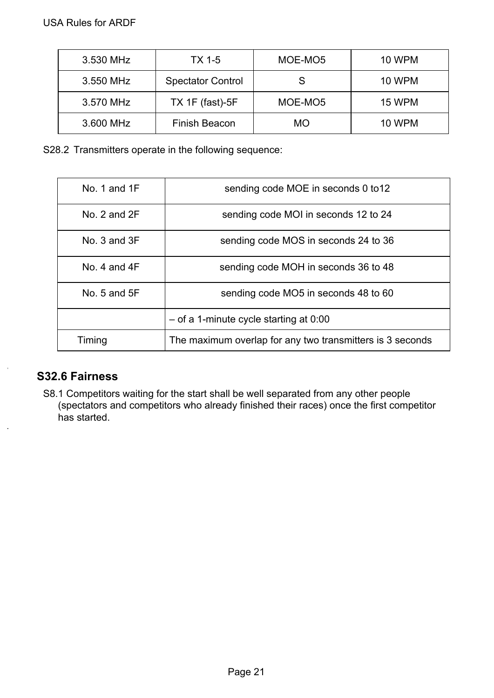| 3.530 MHz | <b>TX 1-5</b>            | MOE-MO5 | <b>10 WPM</b> |
|-----------|--------------------------|---------|---------------|
| 3.550 MHz | <b>Spectator Control</b> | S       | <b>10 WPM</b> |
| 3.570 MHz | TX 1F (fast)-5F          | MOE-MO5 | 15 WPM        |
| 3.600 MHz | Finish Beacon            | МO      | <b>10 WPM</b> |

S28.2 Transmitters operate in the following sequence:

| No. 1 and $1F$   | sending code MOE in seconds 0 to 12                       |  |
|------------------|-----------------------------------------------------------|--|
| No. $2$ and $2F$ | sending code MOI in seconds 12 to 24                      |  |
| No. $3$ and $3F$ | sending code MOS in seconds 24 to 36                      |  |
| No. 4 and $4F$   | sending code MOH in seconds 36 to 48                      |  |
| No. $5$ and $5F$ | sending code MO5 in seconds 48 to 60                      |  |
|                  | $-$ of a 1-minute cycle starting at 0:00                  |  |
| Timing           | The maximum overlap for any two transmitters is 3 seconds |  |

# <span id="page-21-0"></span>**S32.6 Fairness**

S8.1 Competitors waiting for the start shall be well separated from any other people (spectators and competitors who already finished their races) once the first competitor has started.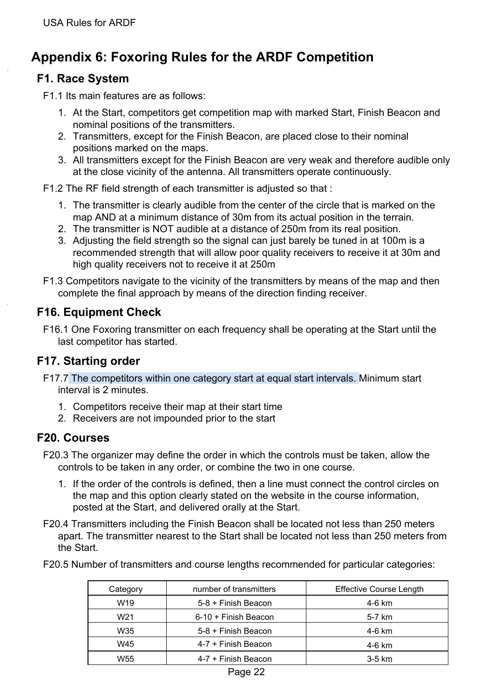# <span id="page-22-0"></span>**Appendix 6: Foxoring Rules for the ARDF Competition**

# <span id="page-22-1"></span>**F1. Race System**

F1.1 Its main features are as follows:

- 1. At the Start, competitors get competition map with marked Start, Finish Beacon and nominal positions of the transmitters.
- 2. Transmitters, except for the Finish Beacon, are placed close to their nominal positions marked on the maps.
- 3. All transmitters except for the Finish Beacon are very weak and therefore audible only at the close vicinity of the antenna. All transmitters operate continuously.
- F1.2 The RF field strength of each transmitter is adjusted so that :
	- 1. The transmitter is clearly audible from the center of the circle that is marked on the map AND at a minimum distance of 30m from its actual position in the terrain.
	- 2. The transmitter is NOT audible at a distance of 250m from its real position.
	- 3. Adjusting the field strength so the signal can just barely be tuned in at 100m is a recommended strength that will allow poor quality receivers to receive it at 30m and high quality receivers not to receive it at 250m
- F1.3 Competitors navigate to the vicinity of the transmitters by means of the map and then complete the final approach by means of the direction finding receiver.

# <span id="page-22-2"></span>**F16. Equipment Check**

F16.1 One Foxoring transmitter on each frequency shall be operating at the Start until the last competitor has started.

# <span id="page-22-3"></span>**F17. Starting order**

- F17.7 The competitors within one category start at equal start intervals. Minimum start interval is 2 minutes.
	- 1. Competitors receive their map at their start time
	- 2. Receivers are not impounded prior to the start

#### <span id="page-22-4"></span>**F20. Courses**

- F20.3 The organizer may define the order in which the controls must be taken, allow the controls to be taken in any order, or combine the two in one course.
	- 1. If the order of the controls is defined, then a line must connect the control circles on the map and this option clearly stated on the website in the course information, posted at the Start, and delivered orally at the Start.
- F20.4 Transmitters including the Finish Beacon shall be located not less than 250 meters apart. The transmitter nearest to the Start shall be located not less than 250 meters from the Start.
- F20.5 Number of transmitters and course lengths recommended for particular categories:

| Category        | number of transmitters | <b>Effective Course Length</b> |
|-----------------|------------------------|--------------------------------|
| W <sub>19</sub> | 5-8 + Finish Beacon    | 4-6 km                         |
| W <sub>21</sub> | 6-10 + Finish Beacon   | 5-7 km                         |
| W35             | 5-8 + Finish Beacon    | 4-6 km                         |
| W45             | 4-7 + Finish Beacon    | 4-6 km                         |
| W55             | 4-7 + Finish Beacon    | 3-5 km                         |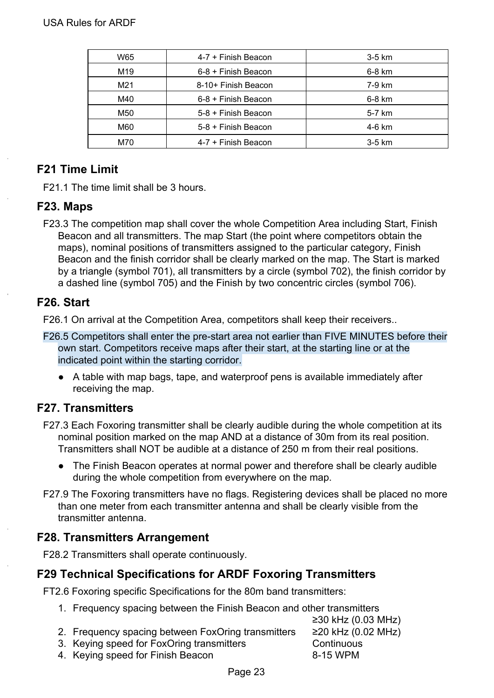| W65 | 4-7 + Finish Beacon | $3-5$ km |
|-----|---------------------|----------|
| M19 | 6-8 + Finish Beacon | 6-8 km   |
| M21 | 8-10+ Finish Beacon | 7-9 km   |
| M40 | 6-8 + Finish Beacon | 6-8 km   |
| M50 | 5-8 + Finish Beacon | 5-7 km   |
| M60 | 5-8 + Finish Beacon | 4-6 km   |
| M70 | 4-7 + Finish Beacon | $3-5$ km |

# <span id="page-23-0"></span>**F21 Time Limit**

F21.1 The time limit shall be 3 hours.

#### <span id="page-23-1"></span>**F23. Maps**

F23.3 The competition map shall cover the whole Competition Area including Start, Finish Beacon and all transmitters. The map Start (the point where competitors obtain the maps), nominal positions of transmitters assigned to the particular category, Finish Beacon and the finish corridor shall be clearly marked on the map. The Start is marked by a triangle (symbol 701), all transmitters by a circle (symbol 702), the finish corridor by a dashed line (symbol 705) and the Finish by two concentric circles (symbol 706).

### <span id="page-23-2"></span>**F26. Start**

F26.1 On arrival at the Competition Area, competitors shall keep their receivers..

- F26.5 Competitors shall enter the pre-start area not earlier than FIVE MINUTES before their own start. Competitors receive maps after their start, at the starting line or at the indicated point within the starting corridor.
	- A table with map bags, tape, and waterproof pens is available immediately after receiving the map.

# <span id="page-23-3"></span>**F27. Transmitters**

- F27.3 Each Foxoring transmitter shall be clearly audible during the whole competition at its nominal position marked on the map AND at a distance of 30m from its real position. Transmitters shall NOT be audible at a distance of 250 m from their real positions.
	- The Finish Beacon operates at normal power and therefore shall be clearly audible during the whole competition from everywhere on the map.
- F27.9 The Foxoring transmitters have no flags. Registering devices shall be placed no more than one meter from each transmitter antenna and shall be clearly visible from the transmitter antenna.

# <span id="page-23-4"></span>**F28. Transmitters Arrangement**

F28.2 Transmitters shall operate continuously.

# <span id="page-23-5"></span>**F29 Technical Specifications for ARDF Foxoring Transmitters**

FT2.6 Foxoring specific Specifications for the 80m band transmitters:

1. Frequency spacing between the Finish Beacon and other transmitters

| 2. Frequency spacing between FoxOring transmitters | ≥20 |
|----------------------------------------------------|-----|

- 3. Keying speed for FoxOring transmitters **Continuous**
- ≥30 kHz (0.03 MHz)  $k$ Hz (0.02 MHz) 4. Keying speed for Finish Beacon 8-15 WPM
	- Page 23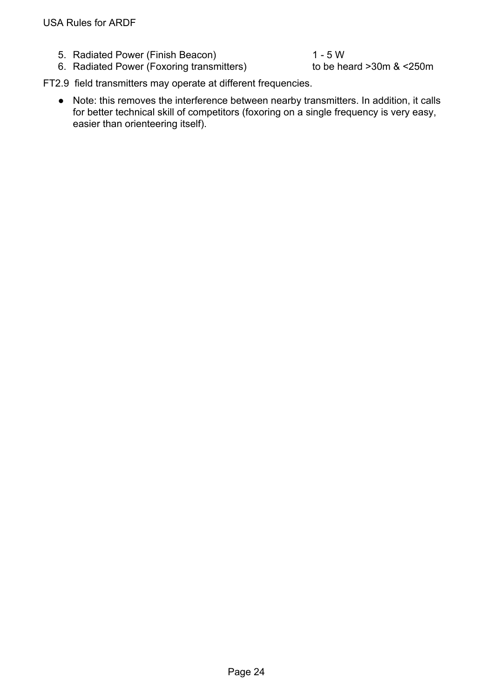5. Radiated Power (Finish Beacon) 1 - 5 W

6. Radiated Power (Foxoring transmitters) to be heard >30m & <250m

FT2.9 field transmitters may operate at different frequencies.

● Note: this removes the interference between nearby transmitters. In addition, it calls for better technical skill of competitors (foxoring on a single frequency is very easy, easier than orienteering itself).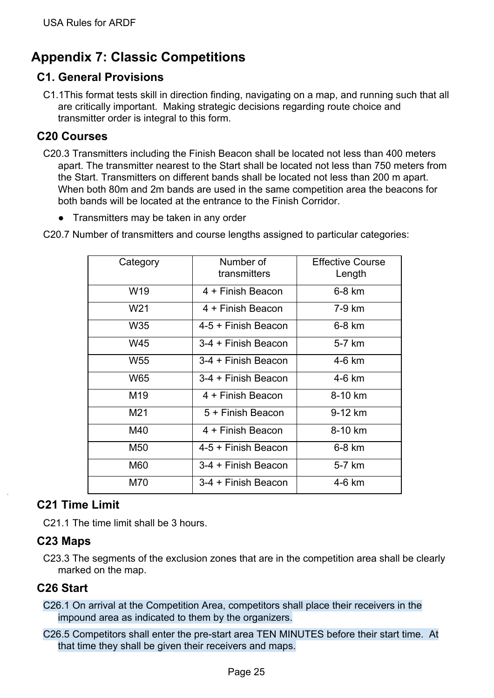# <span id="page-25-0"></span>**Appendix 7: Classic Competitions**

# <span id="page-25-1"></span>**C1. General Provisions**

C1.1This format tests skill in direction finding, navigating on a map, and running such that all are critically important. Making strategic decisions regarding route choice and transmitter order is integral to this form.

# <span id="page-25-2"></span>**C20 Courses**

- C20.3 Transmitters including the Finish Beacon shall be located not less than 400 meters apart. The transmitter nearest to the Start shall be located not less than 750 meters from the Start. Transmitters on different bands shall be located not less than 200 m apart. When both 80m and 2m bands are used in the same competition area the beacons for both bands will be located at the entrance to the Finish Corridor.
	- Transmitters may be taken in any order

C20.7 Number of transmitters and course lengths assigned to particular categories:

| Category        | Number of<br>transmitters | <b>Effective Course</b><br>Length |
|-----------------|---------------------------|-----------------------------------|
| W <sub>19</sub> | 4 + Finish Beacon         | 6-8 km                            |
| W <sub>21</sub> | 4 + Finish Beacon         | 7-9 km                            |
| W35             | 4-5 + Finish Beacon       | 6-8 km                            |
| W45             | 3-4 + Finish Beacon       | 5-7 km                            |
| W <sub>55</sub> | 3-4 + Finish Beacon       | 4-6 km                            |
| W65             | 3-4 + Finish Beacon       | 4-6 km                            |
| M19             | 4 + Finish Beacon         | 8-10 km                           |
| M21             | 5 + Finish Beacon         | 9-12 km                           |
| M40             | 4 + Finish Beacon         | 8-10 km                           |
| M50             | 4-5 + Finish Beacon       | 6-8 km                            |
| M60             | 3-4 + Finish Beacon       | 5-7 km                            |
| M70             | 3-4 + Finish Beacon       | 4-6 km                            |

# <span id="page-25-3"></span>**C21 Time Limit**

C21.1 The time limit shall be 3 hours.

#### <span id="page-25-4"></span>**C23 Maps**

C23.3 The segments of the exclusion zones that are in the competition area shall be clearly marked on the map.

# <span id="page-25-5"></span>**C26 Start**

- C26.1 On arrival at the Competition Area, competitors shall place their receivers in the impound area as indicated to them by the organizers.
- C26.5 Competitors shall enter the pre-start area TEN MINUTES before their start time. At that time they shall be given their receivers and maps.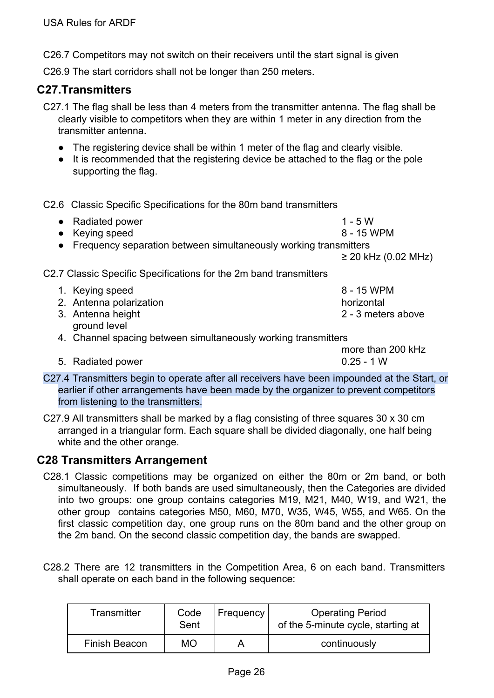C26.7 Competitors may not switch on their receivers until the start signal is given

C26.9 The start corridors shall not be longer than 250 meters.

#### <span id="page-26-0"></span>**C27.Transmitters**

C27.1 The flag shall be less than 4 meters from the transmitter antenna. The flag shall be clearly visible to competitors when they are within 1 meter in any direction from the transmitter antenna.

- The registering device shall be within 1 meter of the flag and clearly visible.
- It is recommended that the registering device be attached to the flag or the pole supporting the flag.

C2.6 Classic Specific Specifications for the 80m band transmitters

| • Radiated power<br>• Keying speed |                                                                   | $1 - 5W$<br>8 - 15 WPM |
|------------------------------------|-------------------------------------------------------------------|------------------------|
|                                    | Frequency separation between simultaneously working transmitters  |                        |
|                                    |                                                                   | $≥$ 20 kHz (0.02 MHz)  |
|                                    | C2.7 Classic Specific Specifications for the 2m band transmitters |                        |
| 1. Keying speed                    |                                                                   | 8 - 15 WPM             |
| 2. Antenna polarization            |                                                                   | horizontal             |
| 3. Antenna height<br>ground level  |                                                                   | 2 - 3 meters above     |
|                                    | 4. Channel spacing between simultaneously working transmitters    |                        |
|                                    |                                                                   | more than 200 kHz      |
| Radiated power<br>5.               |                                                                   | $0.25 - 1 W$           |

C27.4 Transmitters begin to operate after all receivers have been impounded at the Start, or earlier if other arrangements have been made by the organizer to prevent competitors from listening to the transmitters.

C27.9 All transmitters shall be marked by a flag consisting of three squares 30 x 30 cm arranged in a triangular form. Each square shall be divided diagonally, one half being white and the other orange.

#### <span id="page-26-1"></span>**C28 Transmitters Arrangement**

- C28.1 Classic competitions may be organized on either the 80m or 2m band, or both simultaneously. If both bands are used simultaneously, then the Categories are divided into two groups: one group contains categories M19, M21, M40, W19, and W21, the other group contains categories M50, M60, M70, W35, W45, W55, and W65. On the first classic competition day, one group runs on the 80m band and the other group on the 2m band. On the second classic competition day, the bands are swapped.
- C28.2 There are 12 transmitters in the Competition Area, 6 on each band. Transmitters shall operate on each band in the following sequence:

| Transmitter   | Code<br>Sent | <b>Frequency</b> | <b>Operating Period</b><br>of the 5-minute cycle, starting at |
|---------------|--------------|------------------|---------------------------------------------------------------|
| Finish Beacon | <b>MO</b>    |                  | continuously                                                  |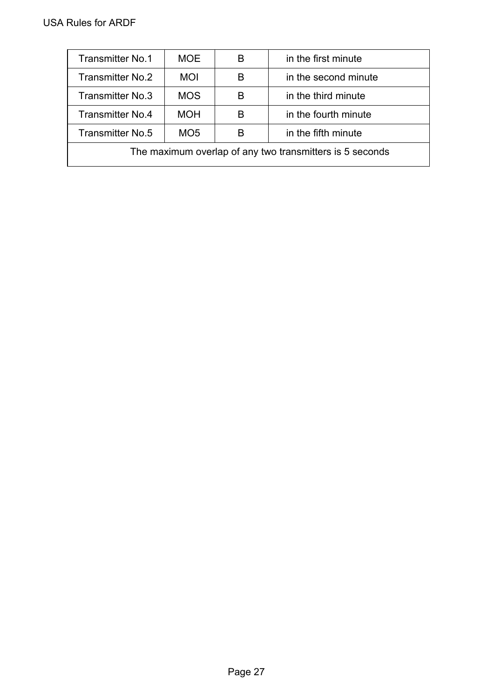| <b>Transmitter No.1</b>                                  | <b>MOE</b>      | В | in the first minute  |  |
|----------------------------------------------------------|-----------------|---|----------------------|--|
| Transmitter No.2                                         | <b>MOI</b>      | в | in the second minute |  |
| Transmitter No.3                                         | <b>MOS</b>      | В | in the third minute  |  |
| <b>Transmitter No.4</b>                                  | <b>MOH</b>      | В | in the fourth minute |  |
| Transmitter No.5                                         | MO <sub>5</sub> | В | in the fifth minute  |  |
| The maximum overlap of any two transmitters is 5 seconds |                 |   |                      |  |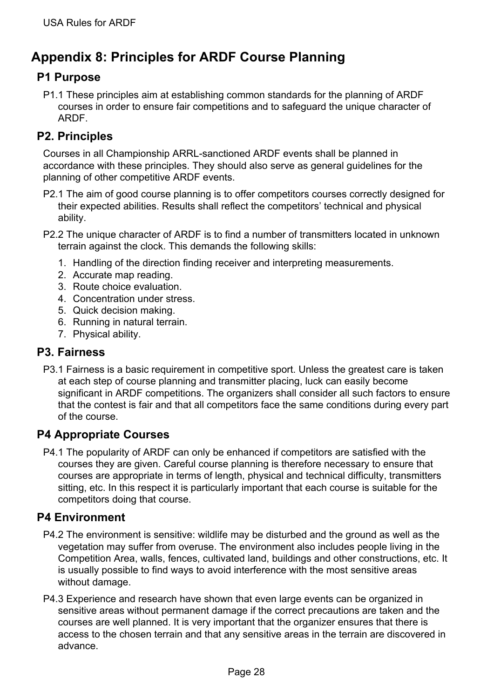# <span id="page-28-0"></span>**Appendix 8: Principles for ARDF Course Planning**

# <span id="page-28-1"></span>**P1 Purpose**

P1.1 These principles aim at establishing common standards for the planning of ARDF courses in order to ensure fair competitions and to safeguard the unique character of ARDF.

# <span id="page-28-2"></span>**P2. Principles**

Courses in all Championship ARRL-sanctioned ARDF events shall be planned in accordance with these principles. They should also serve as general guidelines for the planning of other competitive ARDF events.

- P2.1 The aim of good course planning is to offer competitors courses correctly designed for their expected abilities. Results shall reflect the competitors' technical and physical ability.
- P2.2 The unique character of ARDF is to find a number of transmitters located in unknown terrain against the clock. This demands the following skills:
	- 1. Handling of the direction finding receiver and interpreting measurements.
	- 2. Accurate map reading.
	- 3. Route choice evaluation.
	- 4. Concentration under stress.
	- 5. Quick decision making.
	- 6. Running in natural terrain.
	- 7. Physical ability.

# <span id="page-28-3"></span>**P3. Fairness**

P3.1 Fairness is a basic requirement in competitive sport. Unless the greatest care is taken at each step of course planning and transmitter placing, luck can easily become significant in ARDF competitions. The organizers shall consider all such factors to ensure that the contest is fair and that all competitors face the same conditions during every part of the course.

# <span id="page-28-4"></span>**P4 Appropriate Courses**

P4.1 The popularity of ARDF can only be enhanced if competitors are satisfied with the courses they are given. Careful course planning is therefore necessary to ensure that courses are appropriate in terms of length, physical and technical difficulty, transmitters sitting, etc. In this respect it is particularly important that each course is suitable for the competitors doing that course.

#### <span id="page-28-5"></span>**P4 Environment**

- P4.2 The environment is sensitive: wildlife may be disturbed and the ground as well as the vegetation may suffer from overuse. The environment also includes people living in the Competition Area, walls, fences, cultivated land, buildings and other constructions, etc. It is usually possible to find ways to avoid interference with the most sensitive areas without damage.
- P4.3 Experience and research have shown that even large events can be organized in sensitive areas without permanent damage if the correct precautions are taken and the courses are well planned. It is very important that the organizer ensures that there is access to the chosen terrain and that any sensitive areas in the terrain are discovered in advance.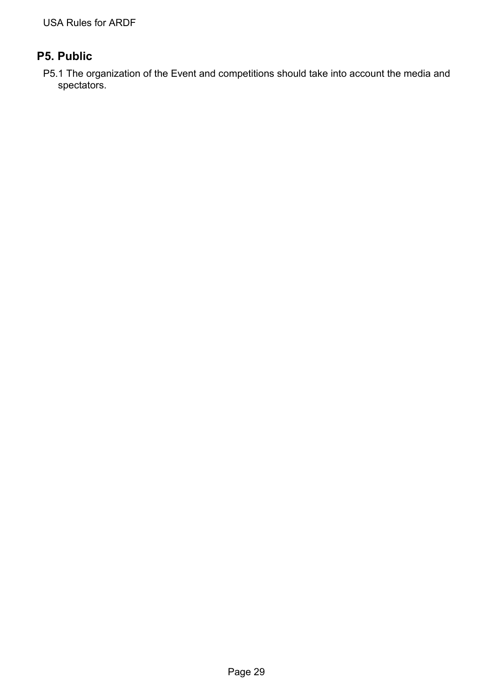# <span id="page-29-0"></span>**P5. Public**

P5.1 The organization of the Event and competitions should take into account the media and spectators.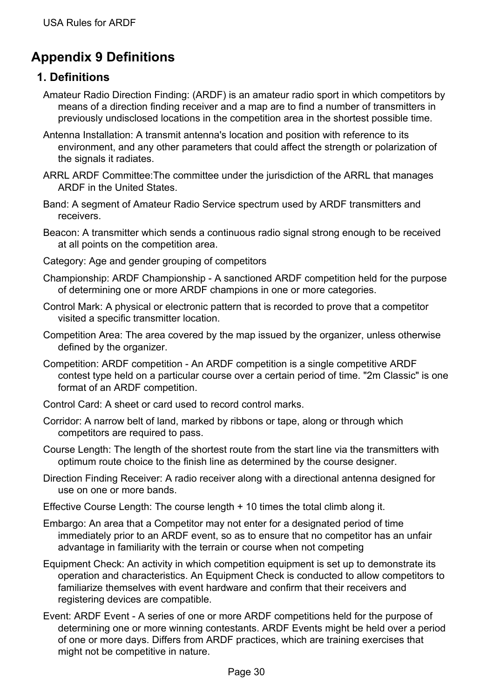# <span id="page-30-0"></span>**Appendix 9 Definitions**

# <span id="page-30-1"></span>**1. Definitions**

- Amateur Radio Direction Finding: (ARDF) is an amateur radio sport in which competitors by means of a direction finding receiver and a map are to find a number of transmitters in previously undisclosed locations in the competition area in the shortest possible time.
- Antenna Installation: A transmit antenna's location and position with reference to its environment, and any other parameters that could affect the strength or polarization of the signals it radiates.
- ARRL ARDF Committee:The committee under the jurisdiction of the ARRL that manages ARDF in the United States.
- Band: A segment of Amateur Radio Service spectrum used by ARDF transmitters and receivers.
- Beacon: A transmitter which sends a continuous radio signal strong enough to be received at all points on the competition area.
- Category: Age and gender grouping of competitors
- Championship: ARDF Championship A sanctioned ARDF competition held for the purpose of determining one or more ARDF champions in one or more categories.
- Control Mark: A physical or electronic pattern that is recorded to prove that a competitor visited a specific transmitter location.
- Competition Area: The area covered by the map issued by the organizer, unless otherwise defined by the organizer.
- Competition: ARDF competition An ARDF competition is a single competitive ARDF contest type held on a particular course over a certain period of time. "2m Classic" is one format of an ARDF competition.
- Control Card: A sheet or card used to record control marks.
- Corridor: A narrow belt of land, marked by ribbons or tape, along or through which competitors are required to pass.
- Course Length: The length of the shortest route from the start line via the transmitters with optimum route choice to the finish line as determined by the course designer.
- Direction Finding Receiver: A radio receiver along with a directional antenna designed for use on one or more bands.
- Effective Course Length: The course length + 10 times the total climb along it.
- Embargo: An area that a Competitor may not enter for a designated period of time immediately prior to an ARDF event, so as to ensure that no competitor has an unfair advantage in familiarity with the terrain or course when not competing
- Equipment Check: An activity in which competition equipment is set up to demonstrate its operation and characteristics. An Equipment Check is conducted to allow competitors to familiarize themselves with event hardware and confirm that their receivers and registering devices are compatible.
- Event: ARDF Event A series of one or more ARDF competitions held for the purpose of determining one or more winning contestants. ARDF Events might be held over a period of one or more days. Differs from ARDF practices, which are training exercises that might not be competitive in nature.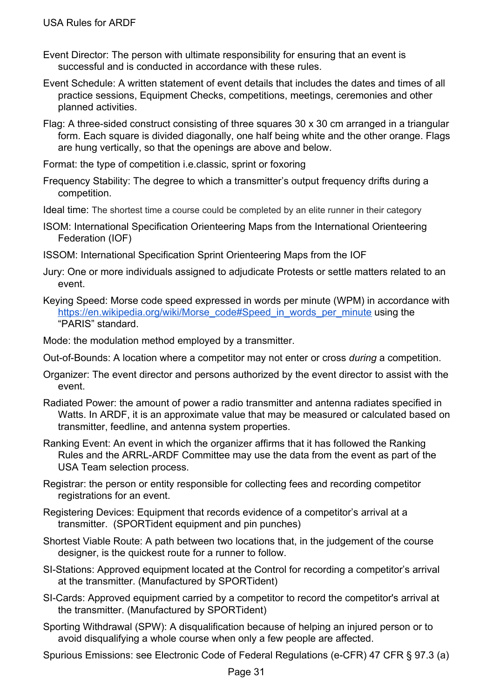- Event Director: The person with ultimate responsibility for ensuring that an event is successful and is conducted in accordance with these rules.
- Event Schedule: A written statement of event details that includes the dates and times of all practice sessions, Equipment Checks, competitions, meetings, ceremonies and other planned activities.
- Flag: A three-sided construct consisting of three squares 30 x 30 cm arranged in a triangular form. Each square is divided diagonally, one half being white and the other orange. Flags are hung vertically, so that the openings are above and below.
- Format: the type of competition i.e.classic, sprint or foxoring
- Frequency Stability: The degree to which a transmitter's output frequency drifts during a competition.
- Ideal time: The shortest time a course could be completed by an elite runner in their category
- ISOM: International Specification Orienteering Maps from the International Orienteering Federation (IOF)
- ISSOM: International Specification Sprint Orienteering Maps from the IOF
- Jury: One or more individuals assigned to adjudicate Protests or settle matters related to an event.
- Keying Speed: Morse code speed expressed in words per minute (WPM) in accordance with [https://en.wikipedia.org/wiki/Morse\\_code#Speed\\_in\\_words\\_per\\_minute](https://en.wikipedia.org/wiki/Morse_code#Speed_in_words_per_minute) using the "PARIS" standard.
- Mode: the modulation method employed by a transmitter.
- Out-of-Bounds: A location where a competitor may not enter or cross *during* a competition.
- Organizer: The event director and persons authorized by the event director to assist with the event.
- Radiated Power: the amount of power a radio transmitter and antenna radiates specified in Watts. In ARDF, it is an approximate value that may be measured or calculated based on transmitter, feedline, and antenna system properties.
- Ranking Event: An event in which the organizer affirms that it has followed the Ranking Rules and the ARRL-ARDF Committee may use the data from the event as part of the USA Team selection process.
- Registrar: the person or entity responsible for collecting fees and recording competitor registrations for an event.
- Registering Devices: Equipment that records evidence of a competitor's arrival at a transmitter. (SPORTident equipment and pin punches)
- Shortest Viable Route: A path between two locations that, in the judgement of the course designer, is the quickest route for a runner to follow.
- SI-Stations: Approved equipment located at the Control for recording a competitor's arrival at the transmitter. (Manufactured by SPORTident)
- SI-Cards: Approved equipment carried by a competitor to record the competitor's arrival at the transmitter. (Manufactured by SPORTident)
- Sporting Withdrawal (SPW): A disqualification because of helping an injured person or to avoid disqualifying a whole course when only a few people are affected.
- Spurious Emissions: see Electronic Code of Federal Regulations (e-CFR) 47 CFR § 97.3 (a)